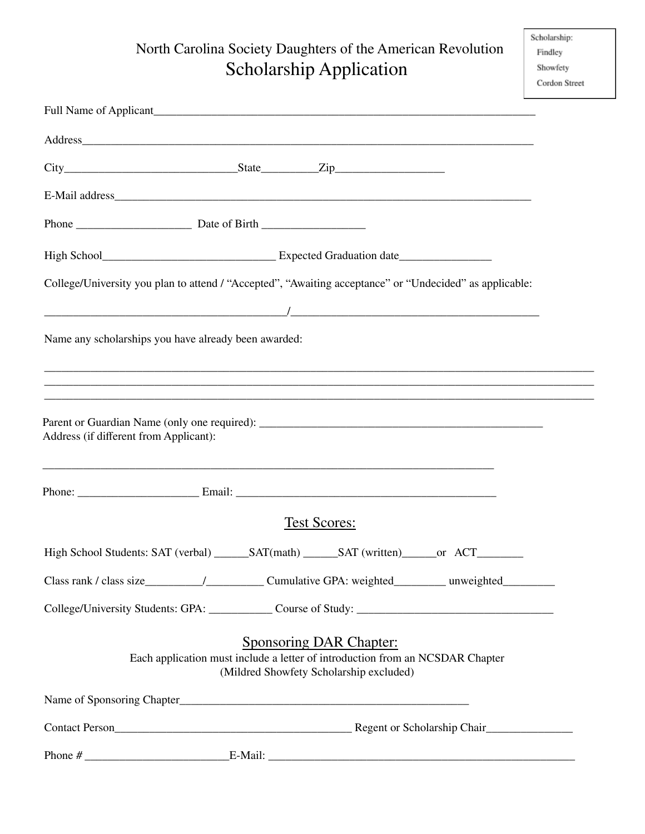## North Carolina Society Daughters of the American Revolution Scholarship Application

|                                                      | Full Name of Applicant the state of the state of the state of the state of the state of the state of the state of the state of the state of the state of the state of the state of the state of the state of the state of the |  |
|------------------------------------------------------|-------------------------------------------------------------------------------------------------------------------------------------------------------------------------------------------------------------------------------|--|
|                                                      | Address_                                                                                                                                                                                                                      |  |
|                                                      |                                                                                                                                                                                                                               |  |
|                                                      |                                                                                                                                                                                                                               |  |
|                                                      |                                                                                                                                                                                                                               |  |
|                                                      |                                                                                                                                                                                                                               |  |
|                                                      | College/University you plan to attend / "Accepted", "Awaiting acceptance" or "Undecided" as applicable:                                                                                                                       |  |
|                                                      |                                                                                                                                                                                                                               |  |
| Name any scholarships you have already been awarded: |                                                                                                                                                                                                                               |  |
|                                                      |                                                                                                                                                                                                                               |  |
|                                                      | ,我们也不能在这里的人,我们也不能在这里的人,我们也不能在这里的人,我们也不能在这里的人,我们也不能在这里的人,我们也不能在这里的人,我们也不能在这里的人,我们也                                                                                                                                             |  |
| Address (if different from Applicant):               | ,我们也不能在这里的人,我们也不能在这里的人,我们也不能在这里的人,我们也不能在这里的人,我们也不能在这里的人,我们也不能在这里的人,我们也不能在这里的人,我们也                                                                                                                                             |  |
|                                                      |                                                                                                                                                                                                                               |  |
|                                                      | <b>Test Scores:</b>                                                                                                                                                                                                           |  |
|                                                      |                                                                                                                                                                                                                               |  |
|                                                      | Class rank / class size___________/________________Cumulative GPA: weighted____________ unweighted___________                                                                                                                 |  |
|                                                      | College/University Students: GPA: Course of Study: ______________________________                                                                                                                                             |  |
|                                                      | <b>Sponsoring DAR Chapter:</b><br>Each application must include a letter of introduction from an NCSDAR Chapter<br>(Mildred Showfety Scholarship excluded)                                                                    |  |
|                                                      |                                                                                                                                                                                                                               |  |
|                                                      |                                                                                                                                                                                                                               |  |
|                                                      |                                                                                                                                                                                                                               |  |